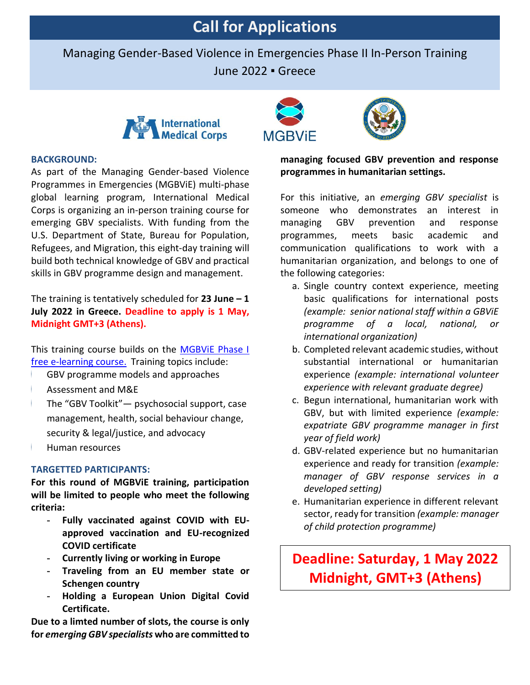# **Call for Applications**

Managing Gender-Based Violence in Emergencies Phase II In-Person Training

June 2022 ▪ Greece



# **BACKGROUND:**

As part of the Managing Gender-based Violence Programmes in Emergencies (MGBViE) multi-phase global learning program, International Medical Corps is organizing an in-person training course for emerging GBV specialists. With funding from the U.S. Department of State, Bureau for Population, Refugees, and Migration, this eight-day training will build both technical knowledge of GBV and practical skills in GBV programme design and management.

The training is tentatively scheduled for **23 June – 1 July 2022 in Greece. Deadline to apply is 1 May, Midnight GMT+3 (Athens).**

This training course builds on the [MGBViE](https://extranet.unfpa.org/Apps/GBVinEmergencies/index.html?_ga=2.214093719.144918011.1625431282-1416273082.1624394335) Phase I [free e-learning course.](https://extranet.unfpa.org/Apps/GBVinEmergencies/index.html?_ga=2.214093719.144918011.1625431282-1416273082.1624394335) Training topics include:

- GBV programme models and approaches
- Assessment and M&E
- The "GBV Toolkit"— psychosocial support, case management, health, social behaviour change, security & legal/justice, and advocacy
- Human resources

#### **TARGETTED PARTICIPANTS:**

**For this round of MGBViE training, participation will be limited to people who meet the following criteria:** 

- **- Fully vaccinated against COVID with EUapproved vaccination and EU-recognized COVID certificate**
- **- Currently living or working in Europe**
- **- Traveling from an EU member state or Schengen country**
- **- Holding a European Union Digital Covid Certificate.**

**Due to a limted number of slots, the course is only for** *emerging GBV specialists* **who are committed to** 





# **managing focused GBV prevention and response programmes in humanitarian settings.**

For this initiative, an *emerging GBV specialist* is someone who demonstrates an interest in managing GBV prevention and response programmes, meets basic academic and communication qualifications to work with a humanitarian organization, and belongs to one of the following categories:

- a. Single country context experience, meeting basic qualifications for international posts *(example: senior national staff within a GBViE programme of a local, national, or international organization)*
- b. Completed relevant academic studies, without substantial international or humanitarian experience *(example: international volunteer experience with relevant graduate degree)*
- c. Begun international, humanitarian work with GBV, but with limited experience *(example: expatriate GBV programme manager in first year of field work)*
- d. GBV-related experience but no humanitarian experience and ready for transition *(example: manager of GBV response services in a developed setting)*
- e. Humanitarian experience in different relevant sector, ready for transition *(example: manager of child protection programme)*

**Deadline: Saturday, 1 May 2022 Midnight, GMT+3 (Athens)**